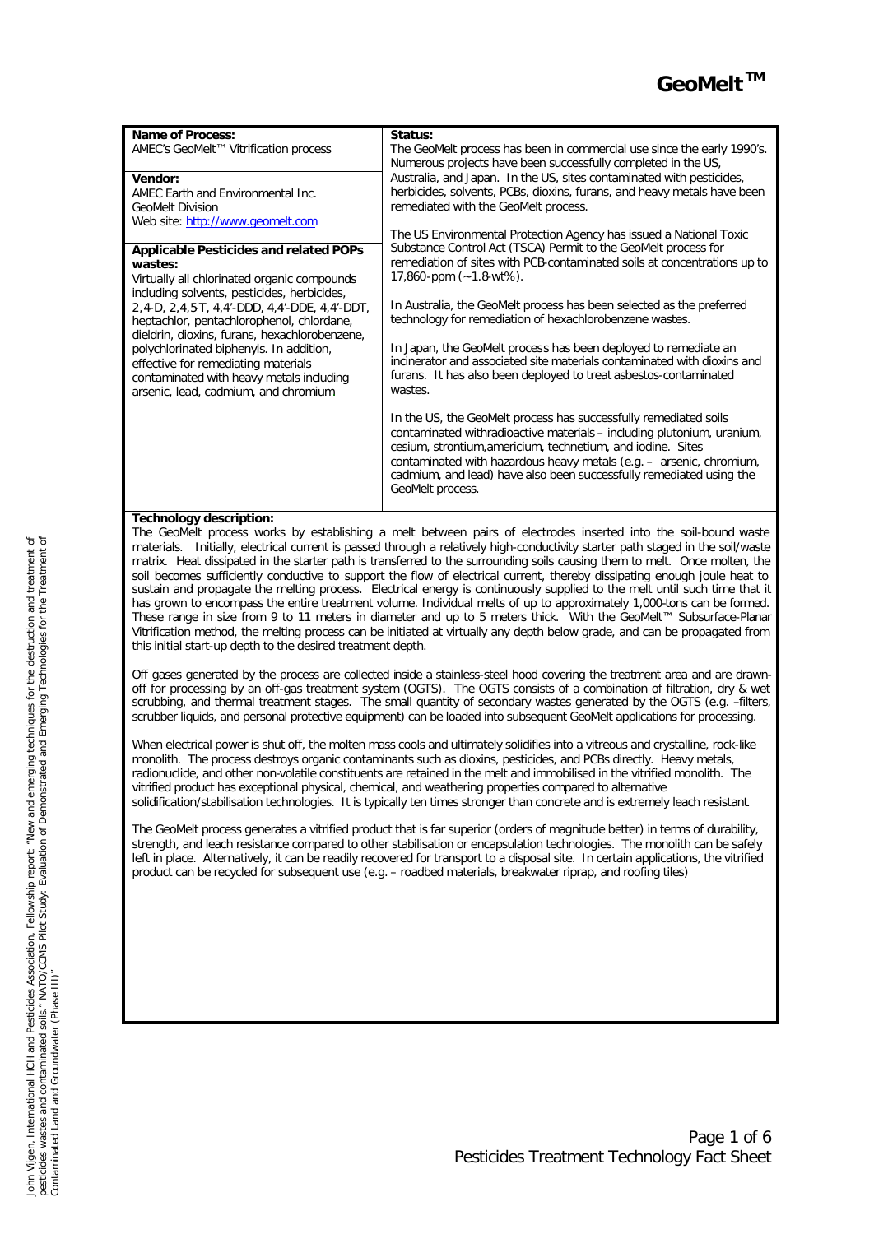

| Name of Process:<br>AMEC's GeoMelt™ Vitrification process<br>Vendor:<br>AMEC Earth and Environmental Inc.<br><b>GeoMelt Division</b>                                                                                                                                                                                                                                                                                       | Status:<br>The GeoMelt process has been in commercial use since the early 1990's.<br>Numerous projects have been successfully completed in the US.<br>Australia, and Japan. In the US, sites contaminated with pesticides,<br>herbicides, solvents, PCBs, dioxins, furans, and heavy metals have been<br>remediated with the GeoMelt process.                               |  |
|----------------------------------------------------------------------------------------------------------------------------------------------------------------------------------------------------------------------------------------------------------------------------------------------------------------------------------------------------------------------------------------------------------------------------|-----------------------------------------------------------------------------------------------------------------------------------------------------------------------------------------------------------------------------------------------------------------------------------------------------------------------------------------------------------------------------|--|
| Web site: http://www.geomelt.com<br><b>Applicable Pesticides and related POPs</b>                                                                                                                                                                                                                                                                                                                                          | The US Environmental Protection Agency has issued a National Toxic<br>Substance Control Act (TSCA) Permit to the GeoMelt process for                                                                                                                                                                                                                                        |  |
| wastes:<br>Virtually all chlorinated organic compounds<br>including solvents, pesticides, herbicides,<br>2,4-D, 2,4,5-T, 4,4'-DDD, 4,4'-DDE, 4,4'-DDT,<br>heptachlor, pentachlorophenol, chlordane,<br>dieldrin, dioxins, furans, hexachlorobenzene,<br>polychlorinated biphenyls. In addition,<br>effective for remediating materials<br>contaminated with heavy metals including<br>arsenic, lead, cadmium, and chromium | remediation of sites with PCB-contaminated soils at concentrations up to<br>$17,860$ -ppm $(-1.8-wt%)$ .                                                                                                                                                                                                                                                                    |  |
|                                                                                                                                                                                                                                                                                                                                                                                                                            | In Australia, the GeoMelt process has been selected as the preferred<br>technology for remediation of hexachlorobenzene wastes.                                                                                                                                                                                                                                             |  |
|                                                                                                                                                                                                                                                                                                                                                                                                                            | In Japan, the GeoMelt process has been deployed to remediate an<br>incinerator and associated site materials contaminated with dioxins and<br>furans. It has also been deployed to treat asbestos-contaminated<br>wastes.                                                                                                                                                   |  |
|                                                                                                                                                                                                                                                                                                                                                                                                                            | In the US, the GeoMelt process has successfully remediated soils<br>contaminated withradioactive materials – including plutonium, uranium,<br>cesium, strontium, americium, technetium, and iodine. Sites<br>contaminated with hazardous heavy metals (e.g. - arsenic, chromium,<br>cadmium, and lead) have also been successfully remediated using the<br>GeoMelt process. |  |

# **Technology description:**

The GeoMelt process works by establishing a melt between pairs of electrodes inserted into the soil-bound waste materials. Initially, electrical current is passed through a relatively high-conductivity starter path staged in the soil/waste matrix. Heat dissipated in the starter path is transferred to the surrounding soils causing them to melt. Once molten, the soil becomes sufficiently conductive to support the flow of electrical current, thereby dissipating enough joule heat to sustain and propagate the melting process. Electrical energy is continuously supplied to the melt until such time that it has grown to encompass the entire treatment volume. Individual melts of up to approximately 1,000-tons can be formed. These range in size from 9 to 11 meters in diameter and up to 5 meters thick. With the GeoMelt™ Subsurface-Planar Vitrification method, the melting process can be initiated at virtually any depth below grade, and can be propagated from this initial start-up depth to the desired treatment depth.

Off gases generated by the process are collected inside a stainless-steel hood covering the treatment area and are drawnoff for processing by an off-gas treatment system (OGTS). The OGTS consists of a combination of filtration, dry & wet scrubbing, and thermal treatment stages. The small quantity of secondary wastes generated by the OGTS (e.g. –filters, scrubber liquids, and personal protective equipment) can be loaded into subsequent GeoMelt applications for processing.

When electrical power is shut off, the molten mass cools and ultimately solidifies into a vitreous and crystalline, rock-like monolith. The process destroys organic contaminants such as dioxins, pesticides, and PCBs directly. Heavy metals, radionuclide, and other non-volatile constituents are retained in the melt and immobilised in the vitrified monolith. The vitrified product has exceptional physical, chemical, and weathering properties compared to alternative solidification/stabilisation technologies. It is typically ten times stronger than concrete and is extremely leach resistant.

The GeoMelt process generates a vitrified product that is far superior (orders of magnitude better) in terms of durability, strength, and leach resistance compared to other stabilisation or encapsulation technologies. The monolith can be safely left in place. Alternatively, it can be readily recovered for transport to a disposal site. In certain applications, the vitrified product can be recycled for subsequent use (e.g. – roadbed materials, breakwater riprap, and roofing tiles)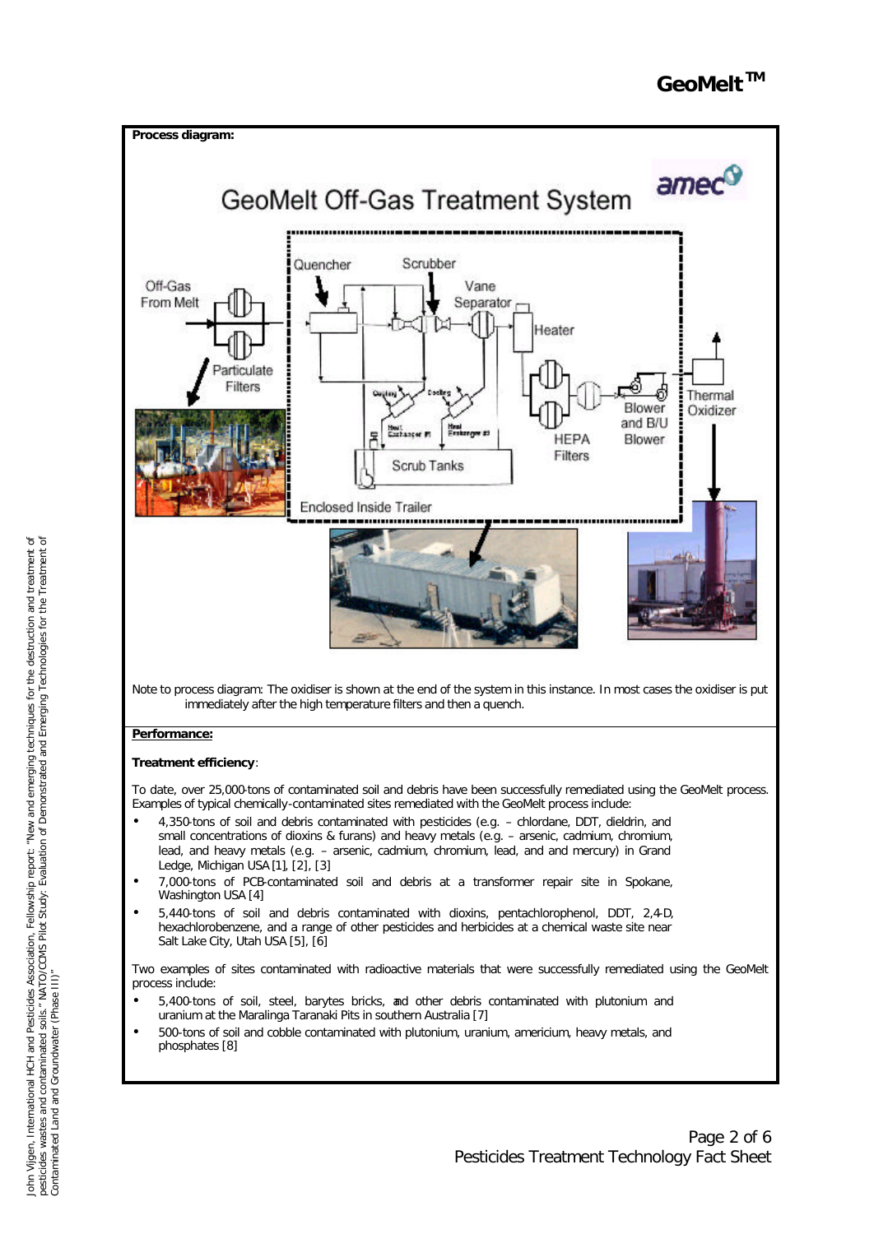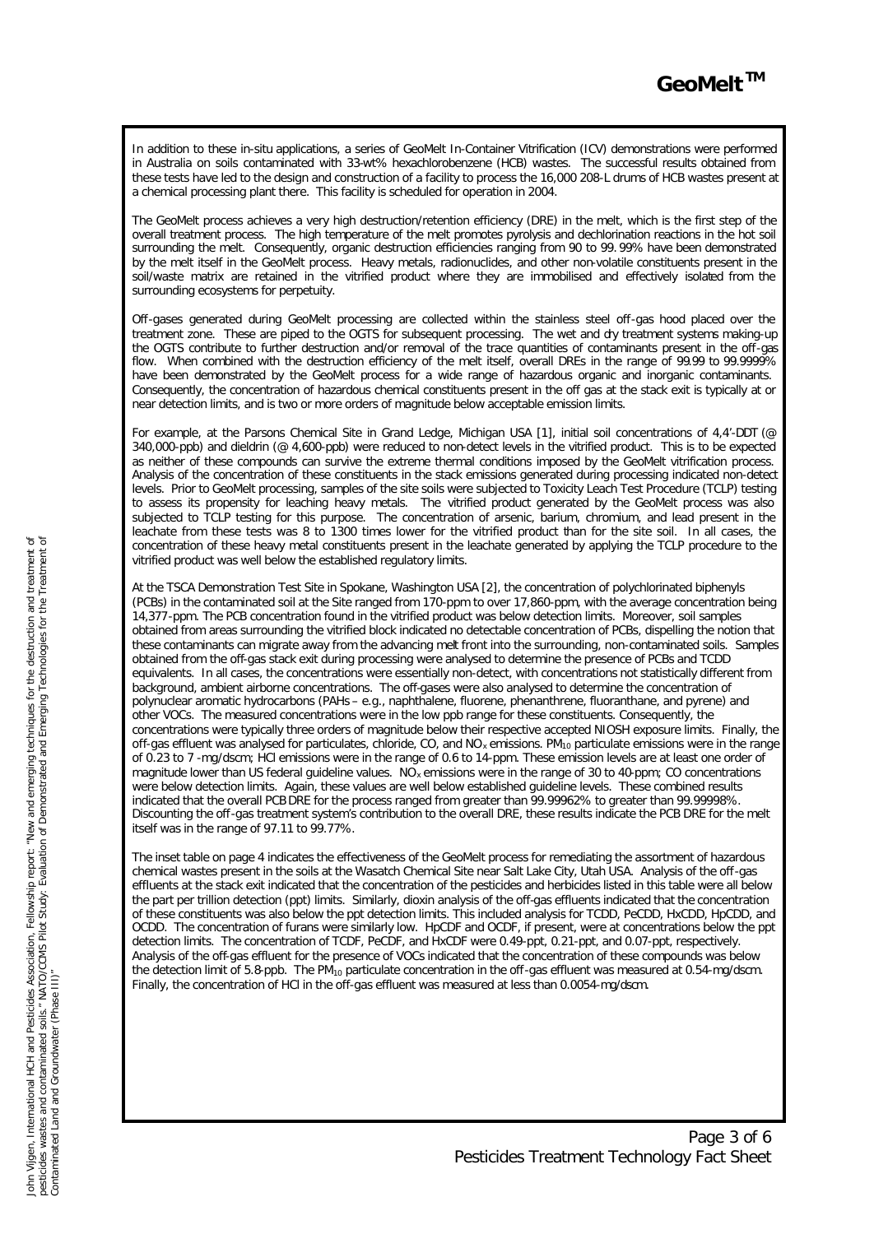In addition to these in-situ applications, a series of GeoMelt In-Container Vitrification (ICV) demonstrations were performed in Australia on soils contaminated with 33-wt% hexachlorobenzene (HCB) wastes. The successful results obtained from these tests have led to the design and construction of a facility to process the 16,000 208-L drums of HCB wastes present at a chemical processing plant there. This facility is scheduled for operation in 2004.

The GeoMelt process achieves a very high destruction/retention efficiency (DRE) in the melt, which is the first step of the overall treatment process. The high temperature of the melt promotes pyrolysis and dechlorination reactions in the hot soil surrounding the melt. Consequently, organic destruction efficiencies ranging from 90 to 99. 99% have been demonstrated by the melt itself in the GeoMelt process. Heavy metals, radionuclides, and other non-volatile constituents present in the soil/waste matrix are retained in the vitrified product where they are immobilised and effectively isolated from the surrounding ecosystems for perpetuity.

Off-gases generated during GeoMelt processing are collected within the stainless steel off-gas hood placed over the treatment zone. These are piped to the OGTS for subsequent processing. The wet and dry treatment systems making-up the OGTS contribute to further destruction and/or removal of the trace quantities of contaminants present in the off-gas flow. When combined with the destruction efficiency of the melt itself, overall DREs in the range of 99.99 to 99.9999% have been demonstrated by the GeoMelt process for a wide range of hazardous organic and inorganic contaminants. Consequently, the concentration of hazardous chemical constituents present in the off gas at the stack exit is typically at or near detection limits, and is two or more orders of magnitude below acceptable emission limits.

For example, at the Parsons Chemical Site in Grand Ledge, Michigan USA [1], initial soil concentrations of 4,4'-DDT (@ 340,000-ppb) and dieldrin (@ 4,600-ppb) were reduced to non-detect levels in the vitrified product. This is to be expected as neither of these compounds can survive the extreme thermal conditions imposed by the GeoMelt vitrification process. Analysis of the concentration of these constituents in the stack emissions generated during processing indicated non-detect levels. Prior to GeoMelt processing, samples of the site soils were subjected to Toxicity Leach Test Procedure (TCLP) testing to assess its propensity for leaching heavy metals. The vitrified product generated by the GeoMelt process was also subjected to TCLP testing for this purpose. The concentration of arsenic, barium, chromium, and lead present in the leachate from these tests was 8 to 1300 times lower for the vitrified product than for the site soil. In all cases, the concentration of these heavy metal constituents present in the leachate generated by applying the TCLP procedure to the vitrified product was well below the established regulatory limits.

At the TSCA Demonstration Test Site in Spokane, Washington USA [2], the concentration of polychlorinated biphenyls (PCBs) in the contaminated soil at the Site ranged from 170-ppm to over 17,860-ppm, with the average concentration being 14,377-ppm. The PCB concentration found in the vitrified product was below detection limits. Moreover, soil samples obtained from areas surrounding the vitrified block indicated no detectable concentration of PCBs, dispelling the notion that these contaminants can migrate away from the advancing melt front into the surrounding, non-contaminated soils. Samples obtained from the off-gas stack exit during processing were analysed to determine the presence of PCBs and TCDD equivalents. In all cases, the concentrations were essentially non-detect, with concentrations not statistically different from background, ambient airborne concentrations. The off-gases were also analysed to determine the concentration of polynuclear aromatic hydrocarbons (PAHs – e.g., naphthalene, fluorene, phenanthrene, fluoranthane, and pyrene) and other VOCs. The measured concentrations were in the low ppb range for these constituents. Consequently, the concentrations were typically three orders of magnitude below their respective accepted NIOSH exposure limits. Finally, the off-gas effluent was analysed for particulates, chloride, CO, and  $NO_x$  emissions.  $PM_{10}$  particulate emissions were in the range of 0.23 to 7 -mg/dscm; HCl emissions were in the range of 0.6 to 14-ppm. These emission levels are at least one order of magnitude lower than US federal guideline values. NO<sub>x</sub> emissions were in the range of 30 to 40-ppm; CO concentrations were below detection limits. Again, these values are well below established guideline levels. These combined results indicated that the overall PCB DRE for the process ranged from greater than 99.99962% to greater than 99.99998%. Discounting the off-gas treatment system's contribution to the overall DRE, these results indicate the PCB DRE for the melt itself was in the range of 97.11 to 99.77%.

The inset table on page 4 indicates the effectiveness of the GeoMelt process for remediating the assortment of hazardous chemical wastes present in the soils at the Wasatch Chemical Site near Salt Lake City, Utah USA. Analysis of the off-gas effluents at the stack exit indicated that the concentration of the pesticides and herbicides listed in this table were all below the part per trillion detection (ppt) limits. Similarly, dioxin analysis of the off-gas effluents indicated that the concentration of these constituents was also below the ppt detection limits. This included analysis for TCDD, PeCDD, HxCDD, HpCDD, and OCDD. The concentration of furans were similarly low. HpCDF and OCDF, if present, were at concentrations below the ppt detection limits. The concentration of TCDF, PeCDF, and HxCDF were 0.49-ppt, 0.21-ppt, and 0.07-ppt, respectively. Analysis of the off-gas effluent for the presence of VOCs indicated that the concentration of these compounds was below the detection limit of 5.8-ppb. The PM<sub>10</sub> particulate concentration in the off-gas effluent was measured at 0.54-mg/dscm. Finally, the concentration of HCl in the off-gas effluent was measured at less than 0.0054-mg/dscm.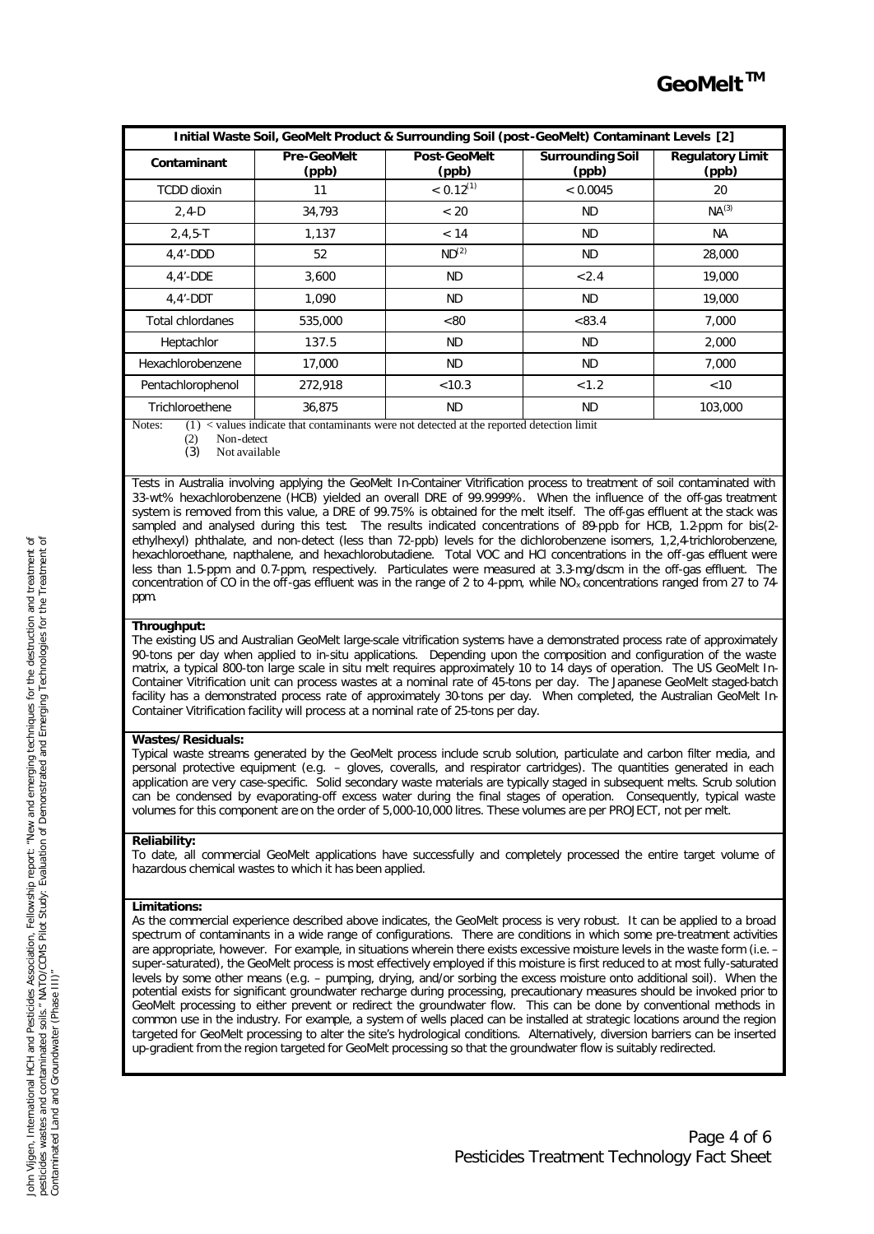| Initial Waste Soil, GeoMelt Product & Surrounding Soil (post-GeoMelt) Contaminant Levels [2] |                             |                              |                                  |                                  |  |
|----------------------------------------------------------------------------------------------|-----------------------------|------------------------------|----------------------------------|----------------------------------|--|
| Contaminant                                                                                  | <b>Pre-GeoMelt</b><br>(ppb) | <b>Post-GeoMelt</b><br>(ppb) | <b>Surrounding Soil</b><br>(ppb) | <b>Regulatory Limit</b><br>(ppb) |  |
| <b>TCDD</b> dioxin                                                                           | 11                          | $< 0.12$ <sup>(1)</sup>      | < 0.0045                         | 20                               |  |
| $2, 4-D$                                                                                     | 34.793                      | < 20                         | <b>ND</b>                        | $NA^{(3)}$                       |  |
| $2, 4, 5 - T$                                                                                | 1,137                       | < 14                         | <b>ND</b>                        | <b>NA</b>                        |  |
| $4,4'$ -DDD                                                                                  | 52                          | ND <sup>(2)</sup>            | <b>ND</b>                        | 28,000                           |  |
| $4.4'$ -DDE                                                                                  | 3.600                       | <b>ND</b>                    | < 2.4                            | 19,000                           |  |
| $4.4'$ -DDT                                                                                  | 1.090                       | <b>ND</b>                    | <b>ND</b>                        | 19,000                           |  |
| Total chlordanes                                                                             | 535,000                     | < 80                         | < 83.4                           | 7.000                            |  |
| Heptachlor                                                                                   | 137.5                       | <b>ND</b>                    | <b>ND</b>                        | 2.000                            |  |
| Hexachlorobenzene                                                                            | 17,000                      | <b>ND</b>                    | <b>ND</b>                        | 7.000                            |  |
| Pentachlorophenol                                                                            | 272,918                     | < 10.3                       | < 1.2                            | < 10                             |  |
| Trichloroethene                                                                              | 36.875                      | <b>ND</b>                    | <b>ND</b>                        | 103,000                          |  |

Notes: (1) < values indicate that contaminants were not detected at the reported detection limit (2) Non-detect

(2) Non-detect<br>(3) Not available

Not available

Tests in Australia involving applying the GeoMelt In-Container Vitrification process to treatment of soil contaminated with 33-wt% hexachlorobenzene (HCB) yielded an overall DRE of 99.9999%. When the influence of the off-gas treatment system is removed from this value, a DRE of 99.75% is obtained for the melt itself. The off-gas effluent at the stack was sampled and analysed during this test. The results indicated concentrations of 89-ppb for HCB, 1.2-ppm for bis(2ethylhexyl) phthalate, and non-detect (less than 72-ppb) levels for the dichlorobenzene isomers, 1,2,4-trichlorobenzene, hexachloroethane, napthalene, and hexachlorobutadiene. Total VOC and HCl concentrations in the off-gas effluent were less than 1.5-ppm and 0.7-ppm, respectively. Particulates were measured at 3.3-mg/dscm in the off-gas effluent. The concentration of CO in the off-gas effluent was in the range of 2 to 4-ppm, while  $NO<sub>x</sub>$  concentrations ranged from 27 to 74ppm.

# **Throughput:**

The existing US and Australian GeoMelt large-scale vitrification systems have a demonstrated process rate of approximately 90-tons per day when applied to in-situ applications. Depending upon the composition and configuration of the waste matrix, a typical 800-ton large scale in situ melt requires approximately 10 to 14 days of operation. The US GeoMelt In-Container Vitrification unit can process wastes at a nominal rate of 45-tons per day. The Japanese GeoMelt staged-batch facility has a demonstrated process rate of approximately 30-tons per day. When completed, the Australian GeoMelt In-Container Vitrification facility will process at a nominal rate of 25-tons per day.

# **Wastes/Residuals:**

Typical waste streams generated by the GeoMelt process include scrub solution, particulate and carbon filter media, and personal protective equipment (e.g. – gloves, coveralls, and respirator cartridges). The quantities generated in each application are very case-specific. Solid secondary waste materials are typically staged in subsequent melts. Scrub solution can be condensed by evaporating-off excess water during the final stages of operation. Consequently, typical waste volumes for this component are on the order of 5,000-10,000 litres. These volumes are per PROJECT, not per melt.

### **Reliability:**

To date, all commercial GeoMelt applications have successfully and completely processed the entire target volume of hazardous chemical wastes to which it has been applied.

# **Limitations:**

As the commercial experience described above indicates, the GeoMelt process is very robust. It can be applied to a broad spectrum of contaminants in a wide range of configurations. There are conditions in which some pre-treatment activities are appropriate, however. For example, in situations wherein there exists excessive moisture levels in the waste form (i.e. – super-saturated), the GeoMelt process is most effectively employed if this moisture is first reduced to at most fully-saturated levels by some other means (e.g. – pumping, drying, and/or sorbing the excess moisture onto additional soil). When the potential exists for significant groundwater recharge during processing, precautionary measures should be invoked prior to GeoMelt processing to either prevent or redirect the groundwater flow. This can be done by conventional methods in common use in the industry. For example, a system of wells placed can be installed at strategic locations around the region targeted for GeoMelt processing to alter the site's hydrological conditions. Alternatively, diversion barriers can be inserted up-gradient from the region targeted for GeoMelt processing so that the groundwater flow is suitably redirected.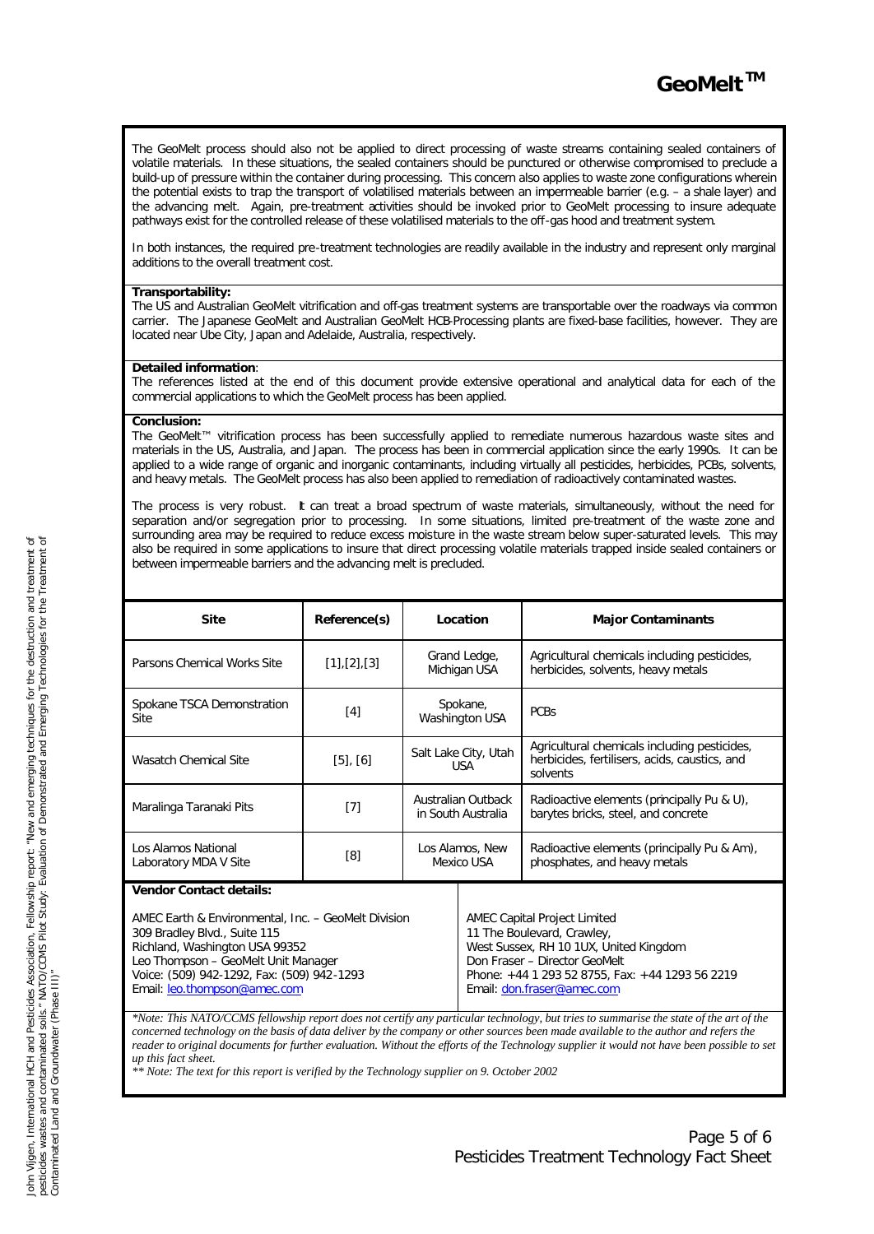The GeoMelt process should also not be applied to direct processing of waste streams containing sealed containers of volatile materials. In these situations, the sealed containers should be punctured or otherwise compromised to preclude a build-up of pressure within the container during processing. This concern also applies to waste zone configurations wherein the potential exists to trap the transport of volatilised materials between an impermeable barrier (e.g. – a shale layer) and the advancing melt. Again, pre-treatment activities should be invoked prior to GeoMelt processing to insure adequate pathways exist for the controlled release of these volatilised materials to the off-gas hood and treatment system.

In both instances, the required pre-treatment technologies are readily available in the industry and represent only marginal additions to the overall treatment cost.

#### **Transportability:**

The US and Australian GeoMelt vitrification and off-gas treatment systems are transportable over the roadways via common carrier. The Japanese GeoMelt and Australian GeoMelt HCB-Processing plants are fixed-base facilities, however. They are located near Ube City, Japan and Adelaide, Australia, respectively.

#### **Detailed information**:

The references listed at the end of this document provide extensive operational and analytical data for each of the commercial applications to which the GeoMelt process has been applied.

#### **Conclusion:**

The GeoMelt™ vitrification process has been successfully applied to remediate numerous hazardous waste sites and materials in the US, Australia, and Japan. The process has been in commercial application since the early 1990s. It can be applied to a wide range of organic and inorganic contaminants, including virtually all pesticides, herbicides, PCBs, solvents, and heavy metals. The GeoMelt process has also been applied to remediation of radioactively contaminated wastes.

The process is very robust. It can treat a broad spectrum of waste materials, simultaneously, without the need for separation and/or segregation prior to processing. In some situations, limited pre-treatment of the waste zone and surrounding area may be required to reduce excess moisture in the waste stream below super-saturated levels. This may also be required in some applications to insure that direct processing volatile materials trapped inside sealed containers or between impermeable barriers and the advancing melt is precluded.

| <b>Site</b>                                  | Reference(s)          | Location                                 | <b>Major Contaminants</b>                                                                                 |  |
|----------------------------------------------|-----------------------|------------------------------------------|-----------------------------------------------------------------------------------------------------------|--|
| Parsons Chemical Works Site                  | $[1]$ , $[2]$ , $[3]$ | Grand Ledge,<br>Michigan USA             | Agricultural chemicals including pesticides,<br>herbicides, solvents, heavy metals                        |  |
| Spokane TSCA Demonstration<br><b>Site</b>    | [4]                   | Spokane,<br>Washington USA               | <b>PCBs</b>                                                                                               |  |
| Wasatch Chemical Site                        | $[5]$ , $[6]$         | Salt Lake City, Utah<br><b>USA</b>       | Agricultural chemicals including pesticides,<br>herbicides, fertilisers, acids, caustics, and<br>solvents |  |
| Maralinga Taranaki Pits                      | $[7]$                 | Australian Outback<br>in South Australia | Radioactive elements (principally Pu & U),<br>barytes bricks, steel, and concrete                         |  |
| Los Alamos National<br>Laboratory MDA V Site | [8]                   | Los Alamos, New<br>Mexico USA            | Radioactive elements (principally Pu & Am),<br>phosphates, and heavy metals                               |  |
| <b>Vendor Contact details:</b>               |                       |                                          |                                                                                                           |  |

AMEC Earth & Environmental, Inc. – GeoMelt Division 309 Bradley Blvd., Suite 115 Richland, Washington USA 99352 Leo Thompson – GeoMelt Unit Manager Voice: (509) 942-1292, Fax: (509) 942-1293 Email: leo.thompson@amec.com

AMEC Capital Project Limited 11 The Boulevard, Crawley, West Sussex, RH 10 1UX, United Kingdom Don Fraser – Director GeoMelt Phone: +44 1 293 52 8755, Fax: +44 1293 56 2219 Email: don.fraser@amec.com

*\*Note: This NATO/CCMS fellowship report does not certify any particular technology, but tries to summarise the state of the art of the concerned technology on the basis of data deliver by the company or other sources been made available to the author and refers the* reader to original documents for further evaluation. Without the efforts of the Technology supplier it would not have been possible to set *up this fact sheet.*

*\*\* Note: The text for this report is verified by the Technology supplier on 9. October 2002*